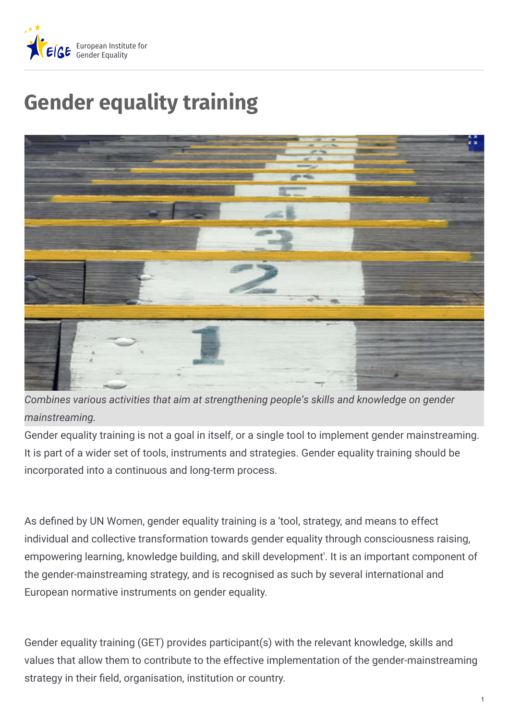

## **Gender equality training**



*Combines various activities that aim at strengthening people's skills and knowledge on gender mainstreaming.*

Gender equality training is not a goal in itself, or a single tool to implement gender mainstreaming. It is part of a wider set of tools, instruments and strategies. Gender equality training should be incorporated into a continuous and long-term process.

As defined by UN Women, gender equality training is a 'tool, strategy, and means to effect individual and collective transformation towards gender equality through consciousness raising, empowering learning, knowledge building, and skill development'. It is an important component of the gender-mainstreaming strategy, and is recognised as such by several international and European normative instruments on gender equality.

Gender equality training (GET) provides participant(s) with the relevant knowledge, skills and values that allow them to contribute to the effective implementation of the gender-mainstreaming strategy in their field, organisation, institution or country.